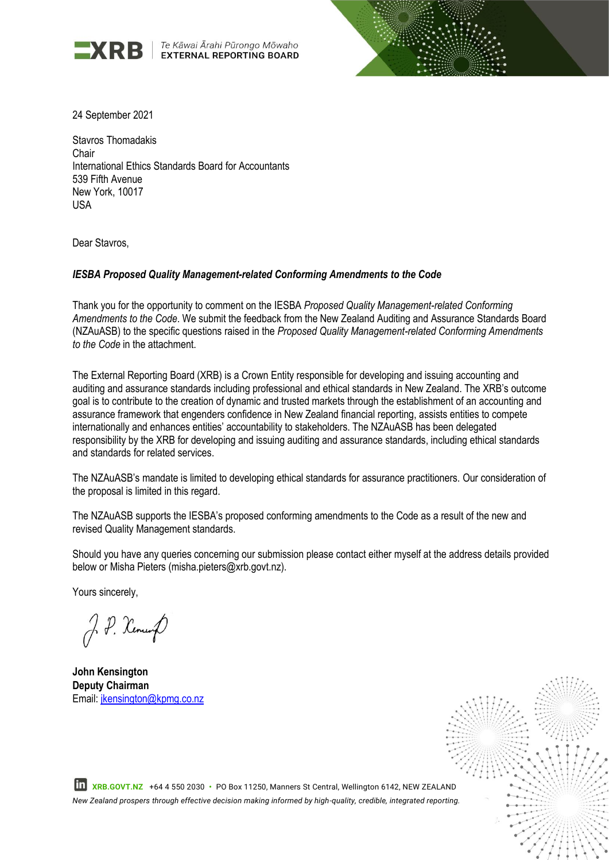

Te Kāwai Ārahi Pūrongo Mōwaho **EXTERNAL REPORTING BOARD** 



24 September 2021

Stavros Thomadakis Chair International Ethics Standards Board for Accountants 539 Fifth Avenue New York, 10017 USA

Dear Stavros,

#### *IESBA Proposed Quality Management-related Conforming Amendments to the Code*

Thank you for the opportunity to comment on the IESBA *Proposed Quality Management-related Conforming Amendments to the Code*. We submit the feedback from the New Zealand Auditing and Assurance Standards Board (NZAuASB) to the specific questions raised in the *Proposed Quality Management-related Conforming Amendments to the Code* in the attachment.

The External Reporting Board (XRB) is a Crown Entity responsible for developing and issuing accounting and auditing and assurance standards including professional and ethical standards in New Zealand. The XRB's outcome goal is to contribute to the creation of dynamic and trusted markets through the establishment of an accounting and assurance framework that engenders confidence in New Zealand financial reporting, assists entities to compete internationally and enhances entities' accountability to stakeholders. The NZAuASB has been delegated responsibility by the XRB for developing and issuing auditing and assurance standards, including ethical standards and standards for related services.

The NZAuASB's mandate is limited to developing ethical standards for assurance practitioners. Our consideration of the proposal is limited in this regard.

The NZAuASB supports the IESBA's proposed conforming amendments to the Code as a result of the new and revised Quality Management standards.

Should you have any queries concerning our submission please contact either myself at the address details provided below or Misha Pieters (misha.pieters@xrb.govt.nz).

Yours sincerely,

J. P. Kennes

**John Kensington Deputy Chairman** Email: jkensington@kpmg.co.nz



 **XRB.GOVT.NZ** +64 4 550 2030 **•** PO Box 11250, Manners St Central, Wellington 6142, NEW ZEALAND *New Zealand prospers through effective decision making informed by high-quality, credible, integrated reporting.*